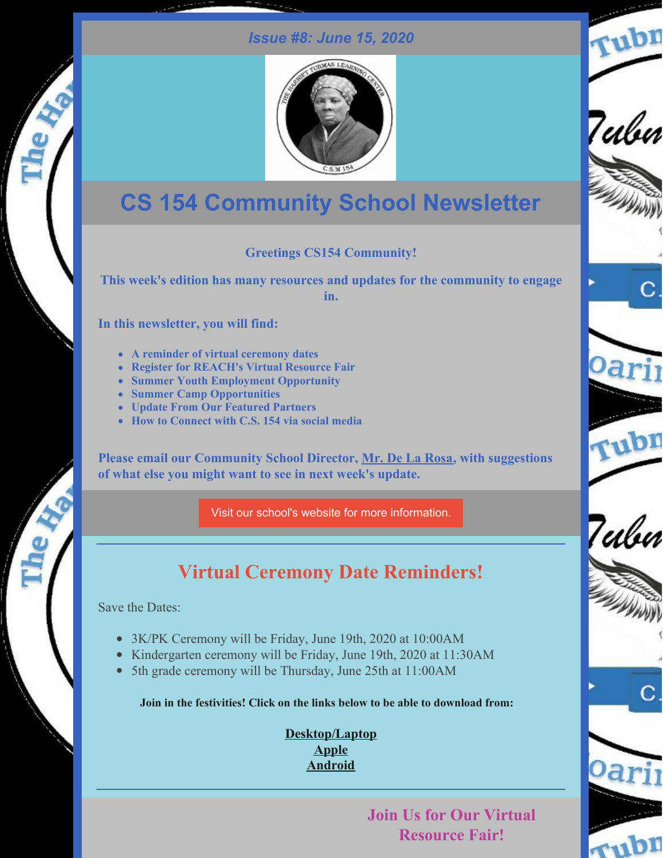### *Issue #8: June 15, 2020*



# **CS 154 Community School Newsletter**

#### **Greetings CS154 Community!**

**This week's edition has many resources and updates for the community to engage in.**

**In this newsletter, you will find:**

- **A reminder of virtual ceremony dates**
- **Register for REACH's Virtual Resource Fair**
- **Summer Youth Employment Opportunity**
- **Summer Camp Opportunities**
- **Update From Our Featured Partners**
- **How to Connect with C.S. 154 via social media**

**Please email our Community School Director, Mr. De La [Rosa,](mailto:ad3327@tc.columbia.edu) with suggestions of what else you might want to see in next week's update.**

Visit our school's website for more [information.](http://ps154.com)

## **Virtual Ceremony Date Reminders!**

Save the Dates:

- 3K/PK Ceremony will be Friday, June 19th, 2020 at 10:00AM
- Kindergarten ceremony will be Friday, June 19th, 2020 at 11:30AM
- 5th grade ceremony will be Thursday, June 25th at 11:00AM

**Join in the festivities! Click on the links below to be able to download from:**

**[Desktop/Laptop](https://bit.ly/3dKwk4b) [Apple](https://apple.co/2AZd44W) [Android](https://bit.ly/2N5p1Jj)**

## **Join Us for Our Virtual Resource Fair!**













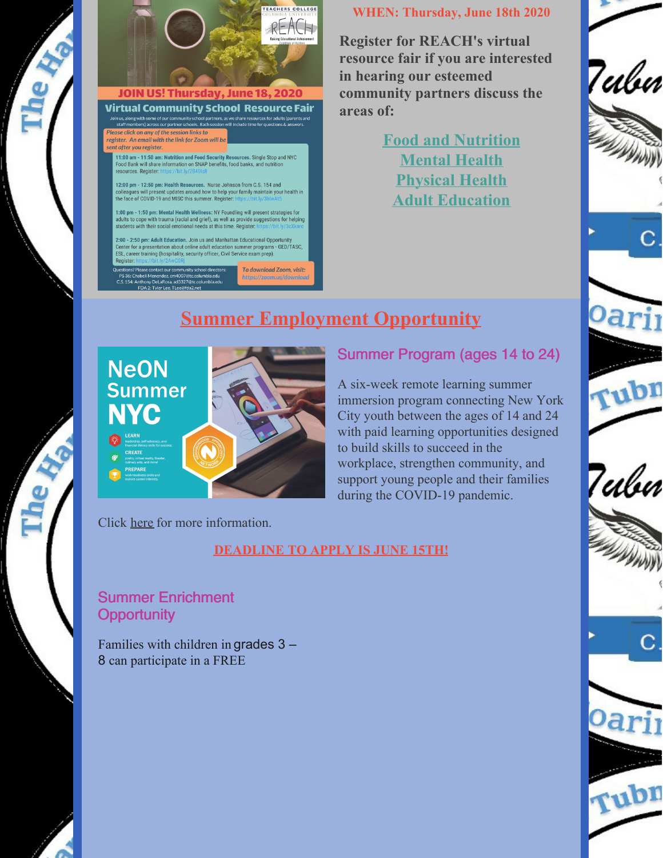



### Virtual Community School Resource Fair

Join us, along with some of our community school partners, as we share resources for adults (parents and<br>staff members) across our partner schools. Each session will include time for questions & answers.<br>Please click on an register. An email with the link for Zoom will be sent after you register.

11:00 am - 11:50 am: Nutrition and Food Security Resources. Single Stop and NYC<br>Food Bank will share information on SNAP benefits, food banks, and nutrition resources. Register: I

12:00 pm - 12:50 pm: Health Resources. Nurse Johnson from C.S. 154 and colleagues will present updates around how to help your family maintain your health in the face of COVID-19 and MISC this summer. Register: https://bi

1:00 pm - 1:50 pm: Mental Health Wellness: NY Foundling will present strategies for adults to cope with trauma (racial and grief), as well as provide suggestions for helping students with their social emotional needs at this time. Register: https://bit.ly/3cXknrc

2:00 - 2:50 pm: Adult Education. Join us and Manhattan Educational Opportunity<br>Center for a presentation about online adult education summer programs - GED/TASC, ESL, career training (hospitality, security officer, Civil Service exam prep). Register:

Questions? Please contact our community school directors:<br>PS 36: Chabeli Menendez, cm4007@tc.columbia.edu<br>C.S. 154: Anthony DeLaRosa, ad3327@tc.columbia.edu<br>FDA 2: Tyler Lee, TLee@fda2.net To download Zoom, visit: https://zoom.us/downloo

#### **WHEN: Thursday, June 18th 2020**

**Register for REACH's virtual resource fair if you are interested in hearing our esteemed community partners discuss the areas of:**

> **Food and [Nutrition](https://bit.ly/2B40Is8) [Mental](https://bit.ly/3hlwAt5) Health [Physical](https://bit.ly/3cXknrc) Health Adult [Education](https://bit.ly/2AwC0Rj)**







Oarj

rubr

7ubn





#### Summer Program (ages 14 to 24)

A six-week remote learning summer immersion program connecting New York City youth between the ages of 14 and 24 with paid learning opportunities designed to build skills to succeed in the workplace, strengthen community, and support young people and their families during the COVID-19 pandemic.

Click [here](https://www1.nyc.gov/site/neon/programs/neon-summer.page) for more information.

#### **DEADLINE TO APPLY IS JUNE 15TH!**

### Summer Enrichment **Opportunity**

Families with children in grades 3 – 8 can participate in a FREE

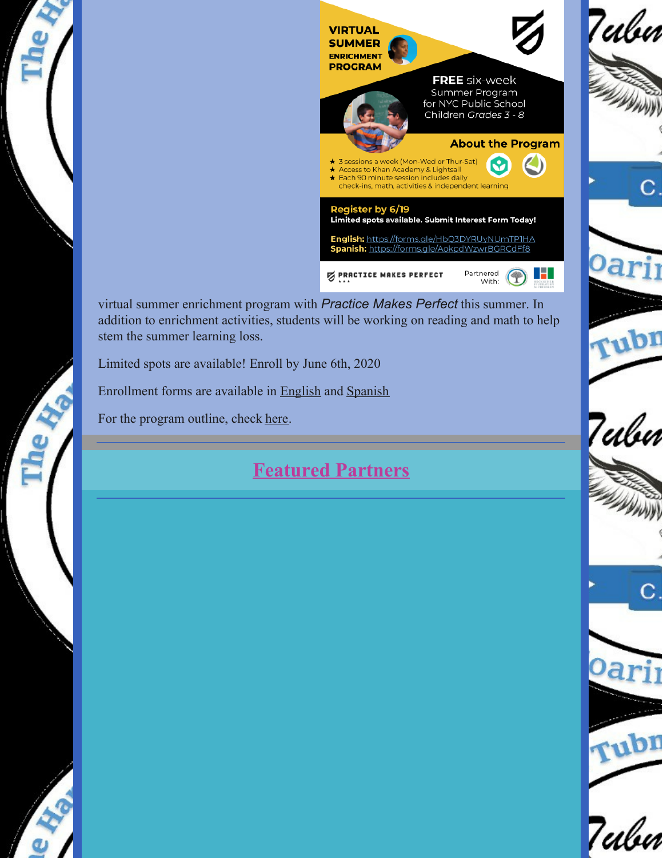

virtual summer enrichment program with *Practice Makes Perfect* this summer. In addition to enrichment activities, students will be working on reading and math to help stem the summer learning loss.

Limited spots are available! Enroll by June 6th, 2020

Enrollment forms are available in [English](https://bit.ly/30DIFUG) and [Spanish](https://bit.ly/3hnAwJS)

For the program outline, check [here](https://bit.ly/37r8ngr).

文

a.

## **Featured Partners**

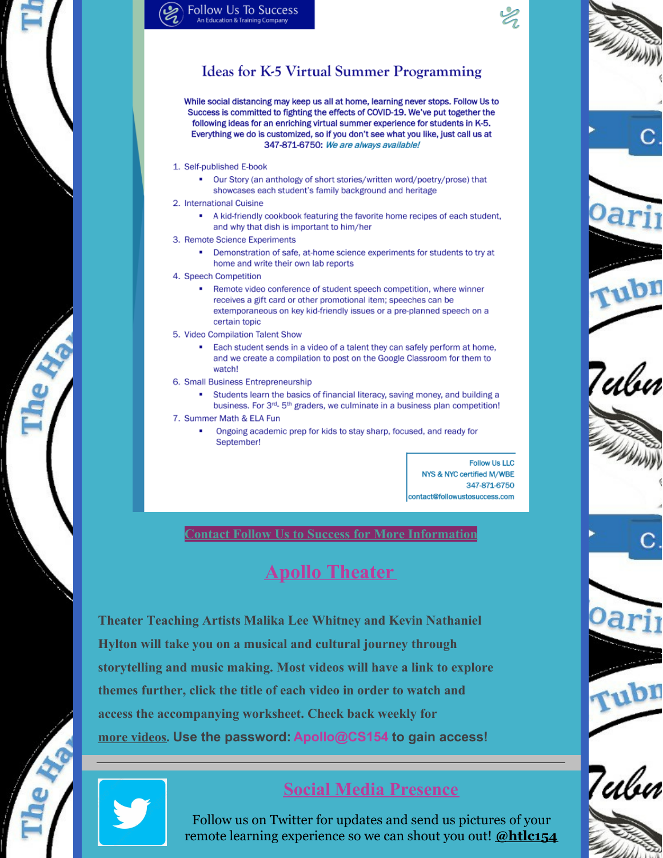## **Ideas for K-5 Virtual Summer Programming**

While social distancing may keep us all at home, learning never stops. Follow Us to Success is committed to fighting the effects of COVID-19. We've put together the following ideas for an enriching virtual summer experience for students in K-5. Everything we do is customized, so if you don't see what you like, just call us at 347-871-6750: We are always available!

- 1. Self-published E-book
	- Our Story (an anthology of short stories/written word/poetry/prose) that showcases each student's family background and heritage
- 2. International Cuisine
	- A kid-friendly cookbook featuring the favorite home recipes of each student, and why that dish is important to him/her
- 3. Remote Science Experiments
	- Demonstration of safe, at-home science experiments for students to try at home and write their own lab reports
- 4. Speech Competition
	- Remote video conference of student speech competition, where winner receives a gift card or other promotional item; speeches can be extemporaneous on key kid-friendly issues or a pre-planned speech on a certain topic
- 5. Video Compilation Talent Show
	- Each student sends in a video of a talent they can safely perform at home, and we create a compilation to post on the Google Classroom for them to watch!
- 6. Small Business Entrepreneurship
	- Students learn the basics of financial literacy, saving money, and building a business. For 3<sup>rd</sup>- 5<sup>th</sup> graders, we culminate in a business plan competition!
- 7. Summer Math & ELA Fun
	- Ongoing academic prep for kids to stay sharp, focused, and ready for September!

**Follow Us LLC** NYS & NYC certified M/WBE 347-871-6750 contact@followustosuccess.com

**Contact Follow Us to Success for More Information** 

## **Apollo Theater**

**Theater Teaching Artists Malika Lee Whitney and Kevin Nathaniel** Hylton will take you on a musical and cultural journey through storytelling and music making. Most videos will have a link to explore themes further, click the title of each video in order to watch and access the accompanying worksheet. Check back weekly for more videos. Use the password: Apollo@CS154 to gain access!



## **Social Media Presence**

Follow us on Twitter for updates and send us pictures of your remote learning experience so we can shout you out! @htlc154